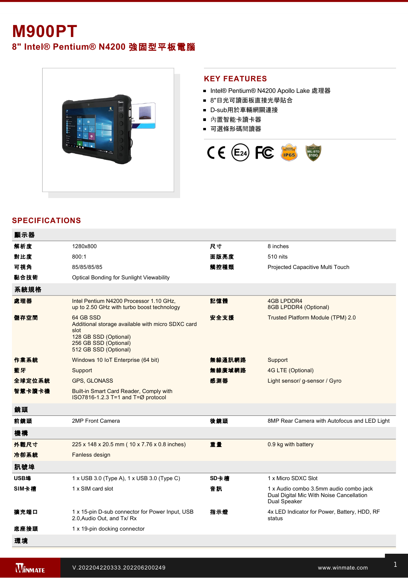# **M900PT**

**8" Intel® Pentium® N4200** 強固型平板電腦



### **KEY FEATURES**

- Intel® Pentium® N4200 Apollo Lake 處理器
- 8"日光可讀面板直接光學貼合
- D-sub用於車輛網關連接
- 內置智能卡讀卡器
- 可選條形碼閱讀器



### **SPECIFICATIONS**

| 顯示器    |                                                                                                                                                   |        |                                                                                                    |
|--------|---------------------------------------------------------------------------------------------------------------------------------------------------|--------|----------------------------------------------------------------------------------------------------|
| 解析度    | 1280x800                                                                                                                                          | 尺寸     | 8 inches                                                                                           |
| 對比度    | 800:1                                                                                                                                             | 面版亮度   | 510 nits                                                                                           |
| 可視角    | 85/85/85/85                                                                                                                                       | 觸控種類   | Projected Capacitive Multi Touch                                                                   |
| 黏合技術   | <b>Optical Bonding for Sunlight Viewability</b>                                                                                                   |        |                                                                                                    |
| 系統規格   |                                                                                                                                                   |        |                                                                                                    |
| 處理器    | Intel Pentium N4200 Processor 1.10 GHz.<br>up to 2.50 GHz with turbo boost technology                                                             | 記憶體    | <b>4GB LPDDR4</b><br>8GB LPDDR4 (Optional)                                                         |
| 儲存空間   | 64 GB SSD<br>Additional storage available with micro SDXC card<br>slot<br>128 GB SSD (Optional)<br>256 GB SSD (Optional)<br>512 GB SSD (Optional) | 安全支援   | Trusted Platform Module (TPM) 2.0                                                                  |
| 作業系統   | Windows 10 IoT Enterprise (64 bit)                                                                                                                | 無線通訊網路 | Support                                                                                            |
| 藍牙     | Support                                                                                                                                           | 無線廣域網路 | 4G LTE (Optional)                                                                                  |
| 全球定位系統 | GPS, GLONASS                                                                                                                                      | 感測器    | Light sensor/ g-sensor / Gyro                                                                      |
| 智慧卡讀卡機 | Built-in Smart Card Reader, Comply with<br>ISO7816-1.2.3 T=1 and T=Ø protocol                                                                     |        |                                                                                                    |
| 鏡頭     |                                                                                                                                                   |        |                                                                                                    |
| 前鏡頭    | 2MP Front Camera                                                                                                                                  | 後鏡頭    | 8MP Rear Camera with Autofocus and LED Light                                                       |
| 機構     |                                                                                                                                                   |        |                                                                                                    |
| 外觀尺寸   | 225 x 148 x 20.5 mm (10 x 7.76 x 0.8 inches)                                                                                                      | 重量     | 0.9 kg with battery                                                                                |
| 冷卻系統   | Fanless design                                                                                                                                    |        |                                                                                                    |
| 訊號埠    |                                                                                                                                                   |        |                                                                                                    |
| USB埠   | 1 x USB 3.0 (Type A), 1 x USB 3.0 (Type C)                                                                                                        | SD卡槽   | 1 x Micro SDXC Slot                                                                                |
| SIM卡槽  | 1 x SIM card slot                                                                                                                                 | 音訊     | 1 x Audio combo 3.5mm audio combo jack<br>Dual Digital Mic With Noise Cancellation<br>Dual Speaker |
| 擴充端口   | 1 x 15-pin D-sub connector for Power Input, USB<br>2.0, Audio Out, and Tx/ Rx                                                                     | 指示燈    | 4x LED Indicator for Power, Battery, HDD, RF<br>status                                             |
| 底座接頭   | 1 x 19-pin docking connector                                                                                                                      |        |                                                                                                    |
| 環境     |                                                                                                                                                   |        |                                                                                                    |

工作濕度 10% to 90% RH, noncondensing 工作溫度 20°C to 60°C (AC mode), 10°C to 50°C (Battery

振動 MILSTD810G Method 514.6 Procedure I **IP**防水等級 IP65 certified, dustproof and waterproof

mode)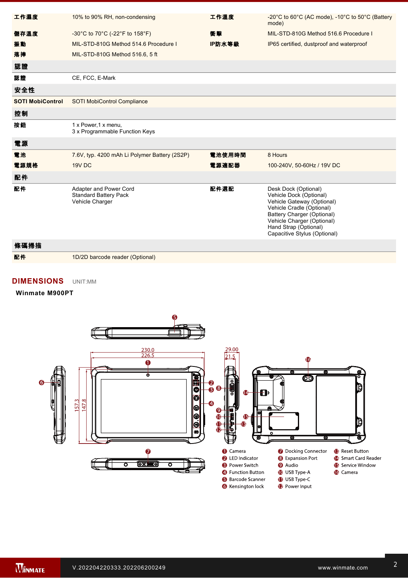| 工作濕度                    | 10% to 90% RH, non-condensing                                             | 工作溫度   | -20 $^{\circ}$ C to 60 $^{\circ}$ C (AC mode), -10 $^{\circ}$ C to 50 $^{\circ}$ C (Battery<br>mode)                                                                                                                            |
|-------------------------|---------------------------------------------------------------------------|--------|---------------------------------------------------------------------------------------------------------------------------------------------------------------------------------------------------------------------------------|
| 儲存溫度                    | -30°C to 70°C (-22°F to 158°F)                                            | 衝擊     | MIL-STD-810G Method 516.6 Procedure I                                                                                                                                                                                           |
| 振動                      | MIL-STD-810G Method 514.6 Procedure I                                     | IP防水等級 | IP65 certified, dustproof and waterproof                                                                                                                                                                                        |
| 落摔                      | MIL-STD-810G Method 516.6, 5 ft                                           |        |                                                                                                                                                                                                                                 |
| 認證                      |                                                                           |        |                                                                                                                                                                                                                                 |
| 認證                      | CE, FCC, E-Mark                                                           |        |                                                                                                                                                                                                                                 |
| 安全性                     |                                                                           |        |                                                                                                                                                                                                                                 |
| <b>SOTI MobiControl</b> | SOTI MobiControl Compliance                                               |        |                                                                                                                                                                                                                                 |
| 控制                      |                                                                           |        |                                                                                                                                                                                                                                 |
| 按鈕                      | 1 x Power, 1 x menu,<br>3 x Programmable Function Keys                    |        |                                                                                                                                                                                                                                 |
| 電源                      |                                                                           |        |                                                                                                                                                                                                                                 |
| 電池                      | 7.6V, typ. 4200 mAh Li Polymer Battery (2S2P)                             | 電池使用時間 | 8 Hours                                                                                                                                                                                                                         |
| 電源規格                    | 19V DC                                                                    | 電源適配器  | 100-240V, 50-60Hz / 19V DC                                                                                                                                                                                                      |
| 配件                      |                                                                           |        |                                                                                                                                                                                                                                 |
| 配件                      | Adapter and Power Cord<br><b>Standard Battery Pack</b><br>Vehicle Charger | 配件選配   | Desk Dock (Optional)<br>Vehicle Dock (Optional)<br>Vehicle Gateway (Optional)<br>Vehicle Cradle (Optional)<br>Battery Charger (Optional)<br>Vehicle Charger (Optional)<br>Hand Strap (Optional)<br>Capacitive Stylus (Optional) |

## 條碼掃描 配件 1D/2D barcode reader (Optional)

### **DIMENSIONS**  UNIT:MM

#### **Winmate M900PT**



7. This is a simplified drawing and some components are not marked in detail.